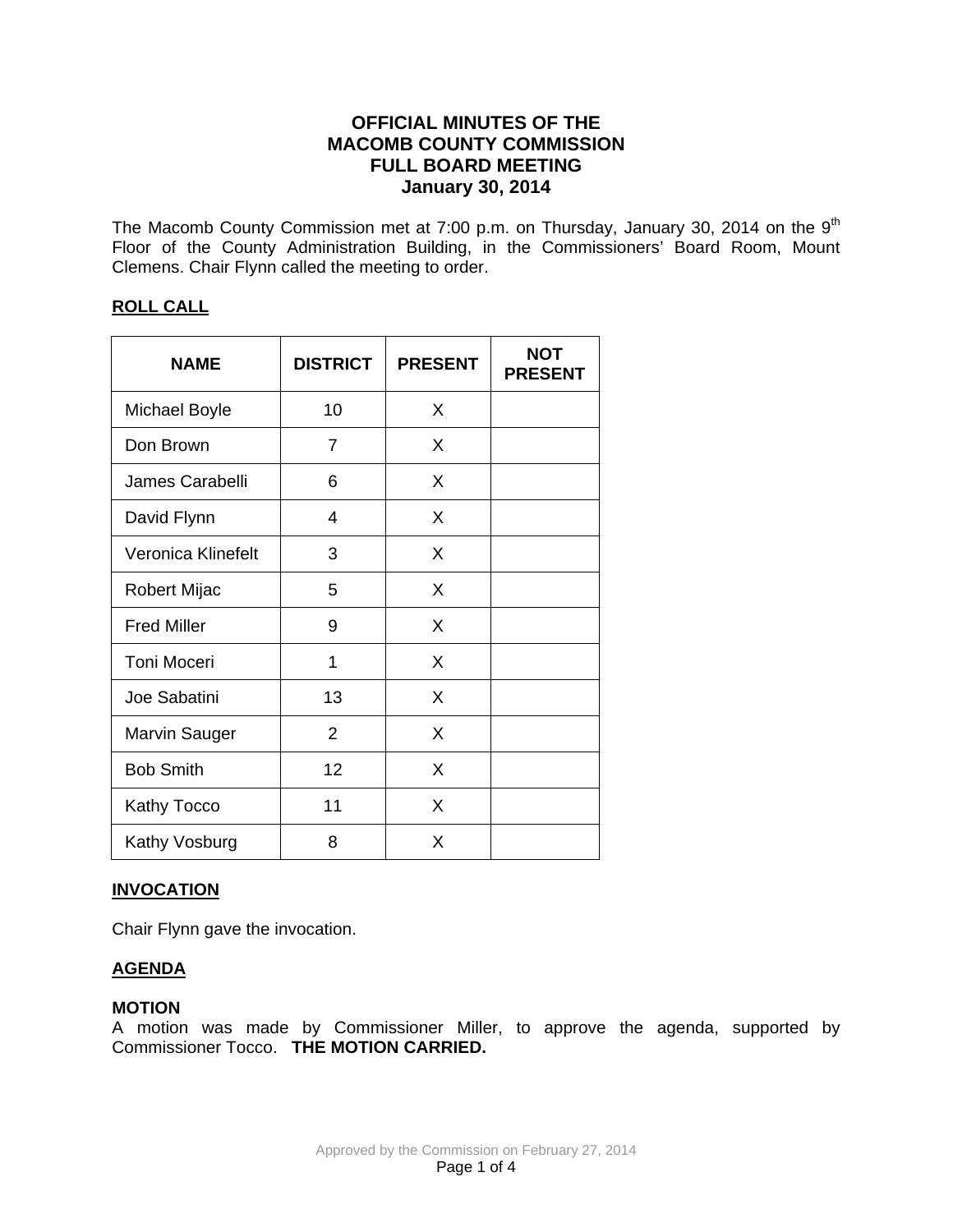# **OFFICIAL MINUTES OF THE MACOMB COUNTY COMMISSION FULL BOARD MEETING January 30, 2014**

The Macomb County Commission met at 7:00 p.m. on Thursday, January 30, 2014 on the  $9<sup>th</sup>$ Floor of the County Administration Building, in the Commissioners' Board Room, Mount Clemens. Chair Flynn called the meeting to order.

# **ROLL CALL**

| <b>NAME</b>          | <b>DISTRICT</b> | <b>PRESENT</b> | <b>NOT</b><br><b>PRESENT</b> |
|----------------------|-----------------|----------------|------------------------------|
| <b>Michael Boyle</b> | 10              | X              |                              |
| Don Brown            | 7               | X              |                              |
| James Carabelli      | 6               | X              |                              |
| David Flynn          | 4               | X              |                              |
| Veronica Klinefelt   | 3               | X              |                              |
| Robert Mijac         | 5               | X              |                              |
| <b>Fred Miller</b>   | 9               | X              |                              |
| Toni Moceri          | 1               | X              |                              |
| Joe Sabatini         | 13              | X              |                              |
| <b>Marvin Sauger</b> | 2               | X              |                              |
| <b>Bob Smith</b>     | 12              | X              |                              |
| Kathy Tocco          | 11              | X              |                              |
| Kathy Vosburg        | 8               | X              |                              |

# **INVOCATION**

Chair Flynn gave the invocation.

# **AGENDA**

### **MOTION**

A motion was made by Commissioner Miller, to approve the agenda, supported by Commissioner Tocco. **THE MOTION CARRIED.**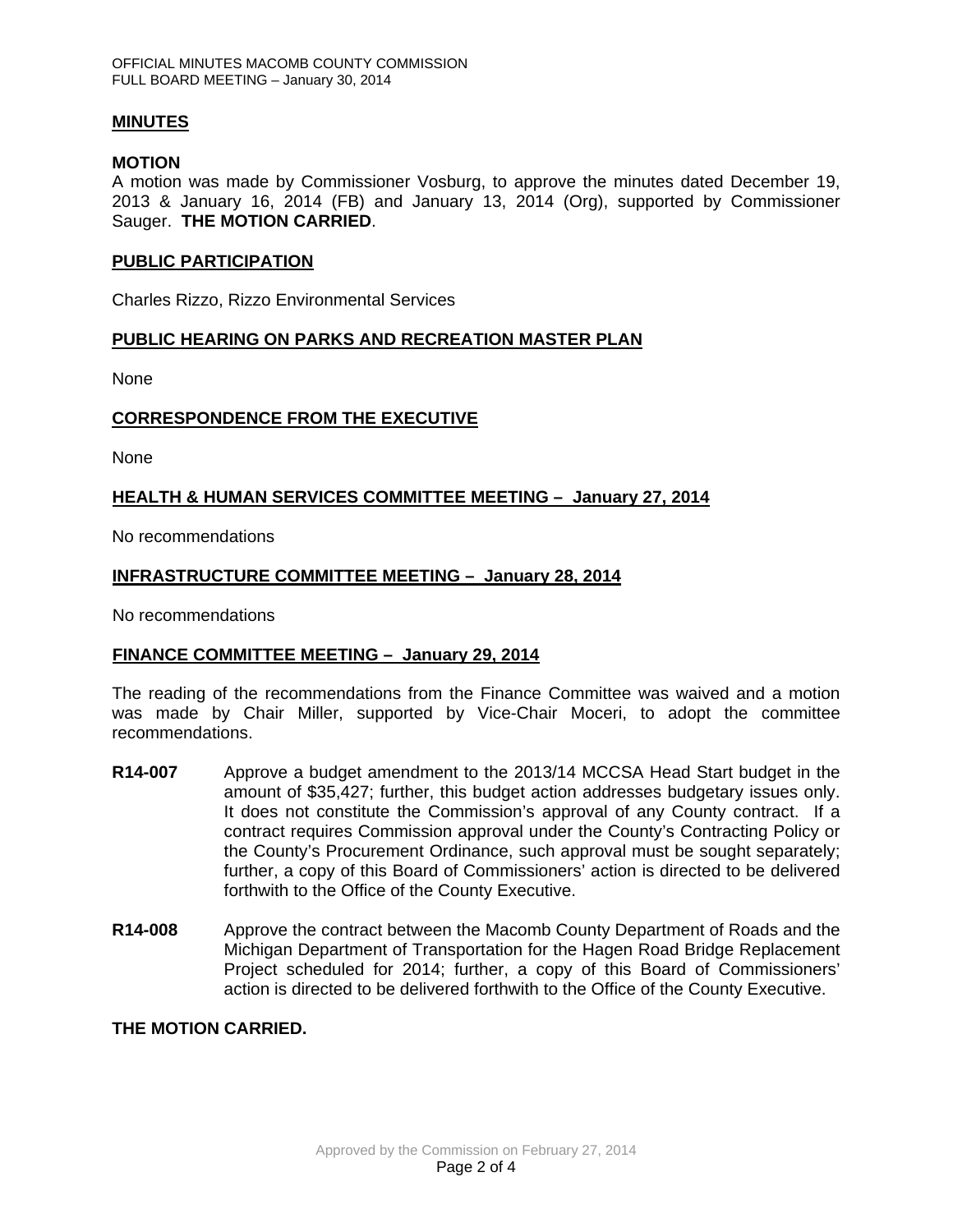## **MINUTES**

## **MOTION**

A motion was made by Commissioner Vosburg, to approve the minutes dated December 19, 2013 & January 16, 2014 (FB) and January 13, 2014 (Org), supported by Commissioner Sauger. **THE MOTION CARRIED**.

### **PUBLIC PARTICIPATION**

Charles Rizzo, Rizzo Environmental Services

## **PUBLIC HEARING ON PARKS AND RECREATION MASTER PLAN**

None

## **CORRESPONDENCE FROM THE EXECUTIVE**

**None** 

## **HEALTH & HUMAN SERVICES COMMITTEE MEETING – January 27, 2014**

No recommendations

## **INFRASTRUCTURE COMMITTEE MEETING – January 28, 2014**

No recommendations

# **FINANCE COMMITTEE MEETING – January 29, 2014**

The reading of the recommendations from the Finance Committee was waived and a motion was made by Chair Miller, supported by Vice-Chair Moceri, to adopt the committee recommendations.

- **R14-007** Approve a budget amendment to the 2013/14 MCCSA Head Start budget in the amount of \$35,427; further, this budget action addresses budgetary issues only. It does not constitute the Commission's approval of any County contract. If a contract requires Commission approval under the County's Contracting Policy or the County's Procurement Ordinance, such approval must be sought separately; further, a copy of this Board of Commissioners' action is directed to be delivered forthwith to the Office of the County Executive.
- **R14-008** Approve the contract between the Macomb County Department of Roads and the Michigan Department of Transportation for the Hagen Road Bridge Replacement Project scheduled for 2014; further, a copy of this Board of Commissioners' action is directed to be delivered forthwith to the Office of the County Executive.

# **THE MOTION CARRIED.**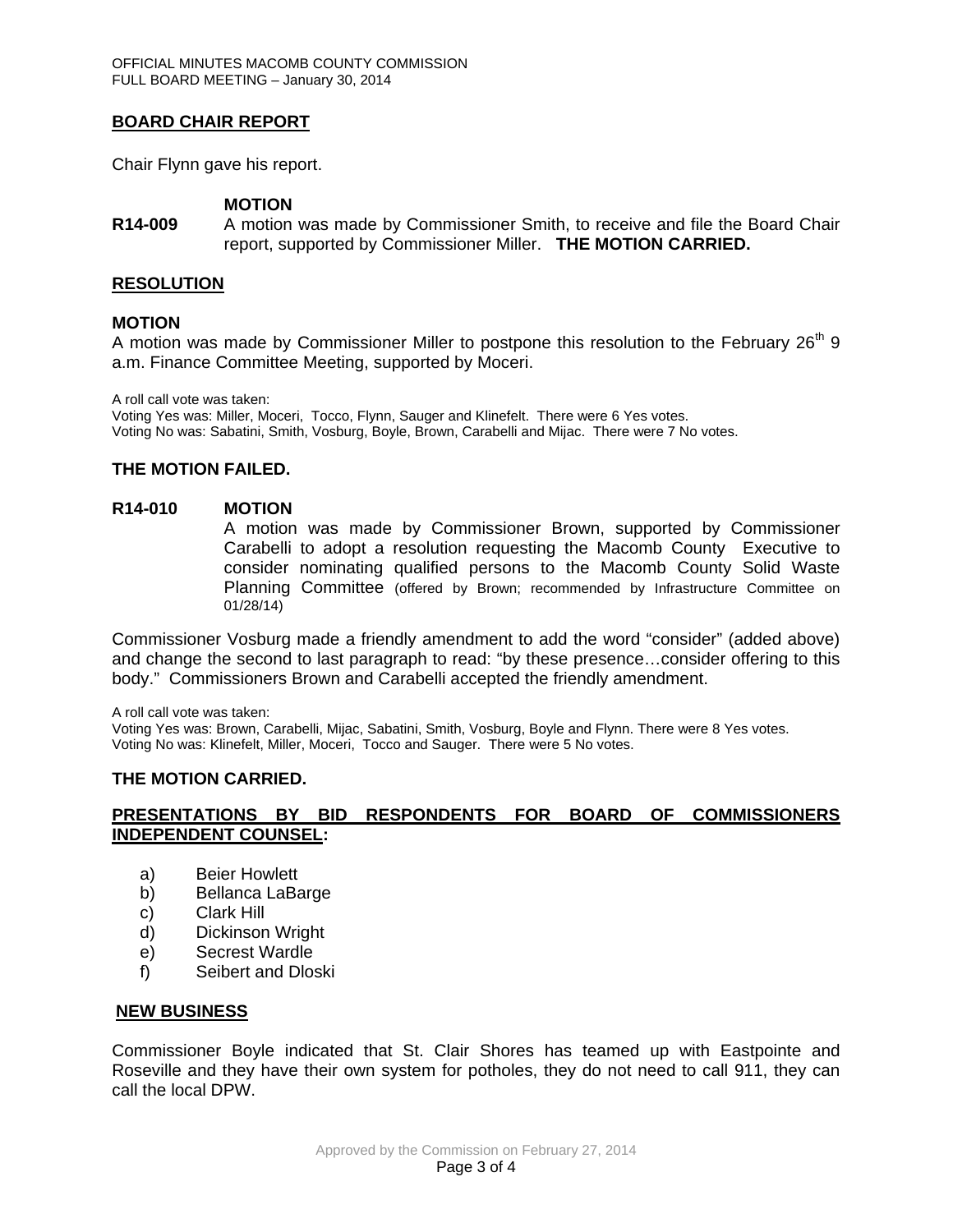## **BOARD CHAIR REPORT**

Chair Flynn gave his report.

### **MOTION**

**R14-009** A motion was made by Commissioner Smith, to receive and file the Board Chair report, supported by Commissioner Miller. **THE MOTION CARRIED.**

#### **RESOLUTION**

#### **MOTION**

A motion was made by Commissioner Miller to postpone this resolution to the February 26<sup>th</sup> 9 a.m. Finance Committee Meeting, supported by Moceri.

A roll call vote was taken:

Voting Yes was: Miller, Moceri, Tocco, Flynn, Sauger and Klinefelt. There were 6 Yes votes. Voting No was: Sabatini, Smith, Vosburg, Boyle, Brown, Carabelli and Mijac. There were 7 No votes.

# **THE MOTION FAILED.**

#### **R14-010 MOTION**

A motion was made by Commissioner Brown, supported by Commissioner Carabelli to adopt a resolution requesting the Macomb County Executive to consider nominating qualified persons to the Macomb County Solid Waste Planning Committee (offered by Brown; recommended by Infrastructure Committee on 01/28/14)

Commissioner Vosburg made a friendly amendment to add the word "consider" (added above) and change the second to last paragraph to read: "by these presence…consider offering to this body." Commissioners Brown and Carabelli accepted the friendly amendment.

A roll call vote was taken:

Voting Yes was: Brown, Carabelli, Mijac, Sabatini, Smith, Vosburg, Boyle and Flynn. There were 8 Yes votes. Voting No was: Klinefelt, Miller, Moceri, Tocco and Sauger. There were 5 No votes.

### **THE MOTION CARRIED.**

## **PRESENTATIONS BY BID RESPONDENTS FOR BOARD OF COMMISSIONERS INDEPENDENT COUNSEL:**

- a) Beier Howlett
- b) Bellanca LaBarge
- c) Clark Hill
- d) Dickinson Wright
- e) Secrest Wardle
- f) Seibert and Dloski

### **NEW BUSINESS**

Commissioner Boyle indicated that St. Clair Shores has teamed up with Eastpointe and Roseville and they have their own system for potholes, they do not need to call 911, they can call the local DPW.